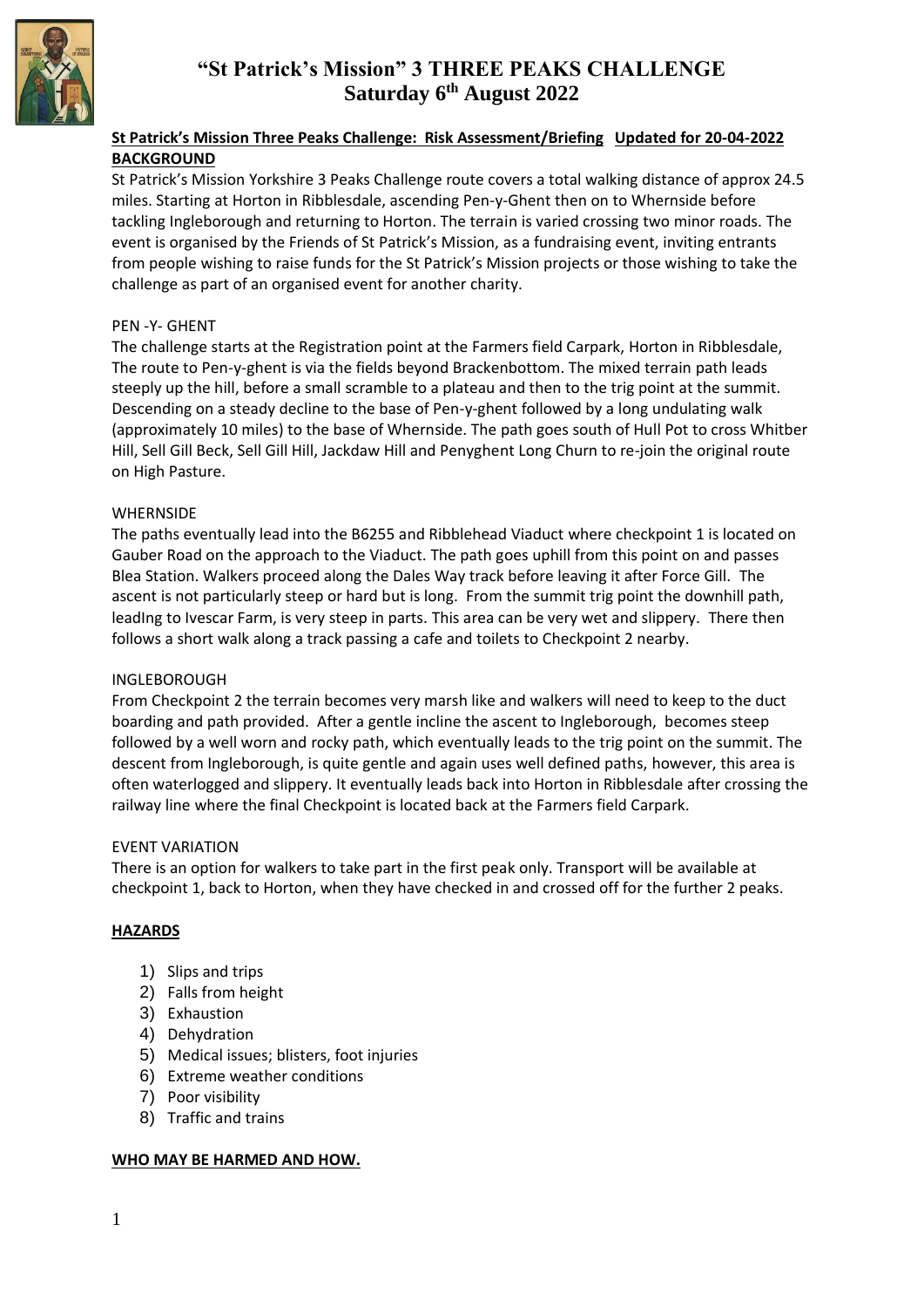

# **"St Patrick's Mission" 3 THREE PEAKS CHALLENGE Saturday 6 th August 2022**

## **St Patrick's Mission Three Peaks Challenge: Risk Assessment/Briefing Updated for 20-04-2022 BACKGROUND**

St Patrick's Mission Yorkshire 3 Peaks Challenge route covers a total walking distance of approx 24.5 miles. Starting at Horton in Ribblesdale, ascending Pen-y-Ghent then on to Whernside before tackling Ingleborough and returning to Horton. The terrain is varied crossing two minor roads. The event is organised by the Friends of St Patrick's Mission, as a fundraising event, inviting entrants from people wishing to raise funds for the St Patrick's Mission projects or those wishing to take the challenge as part of an organised event for another charity.

### PEN -Y- GHENT

The challenge starts at the Registration point at the Farmers field Carpark, Horton in Ribblesdale, The route to Pen-y-ghent is via the fields beyond Brackenbottom. The mixed terrain path leads steeply up the hill, before a small scramble to a plateau and then to the trig point at the summit. Descending on a steady decline to the base of Pen-y-ghent followed by a long undulating walk (approximately 10 miles) to the base of Whernside. The path goes south of Hull Pot to cross Whitber Hill, Sell Gill Beck, Sell Gill Hill, Jackdaw Hill and Penyghent Long Churn to re-join the original route on High Pasture.

#### WHERNSIDE

The paths eventually lead into the B6255 and Ribblehead Viaduct where checkpoint 1 is located on Gauber Road on the approach to the Viaduct. The path goes uphill from this point on and passes Blea Station. Walkers proceed along the Dales Way track before leaving it after Force Gill. The ascent is not particularly steep or hard but is long. From the summit trig point the downhill path, leadIng to Ivescar Farm, is very steep in parts. This area can be very wet and slippery. There then follows a short walk along a track passing a cafe and toilets to Checkpoint 2 nearby.

#### INGLEBOROUGH

From Checkpoint 2 the terrain becomes very marsh like and walkers will need to keep to the duct boarding and path provided. After a gentle incline the ascent to Ingleborough, becomes steep followed by a well worn and rocky path, which eventually leads to the trig point on the summit. The descent from Ingleborough, is quite gentle and again uses well defined paths, however, this area is often waterlogged and slippery. It eventually leads back into Horton in Ribblesdale after crossing the railway line where the final Checkpoint is located back at the Farmers field Carpark.

#### EVENT VARIATION

There is an option for walkers to take part in the first peak only. Transport will be available at checkpoint 1, back to Horton, when they have checked in and crossed off for the further 2 peaks.

### **HAZARDS**

- 1) Slips and trips
- 2) Falls from height
- 3) Exhaustion
- 4) Dehydration
- 5) Medical issues; blisters, foot injuries
- 6) Extreme weather conditions
- 7) Poor visibility
- 8) Traffic and trains

#### **WHO MAY BE HARMED AND HOW.**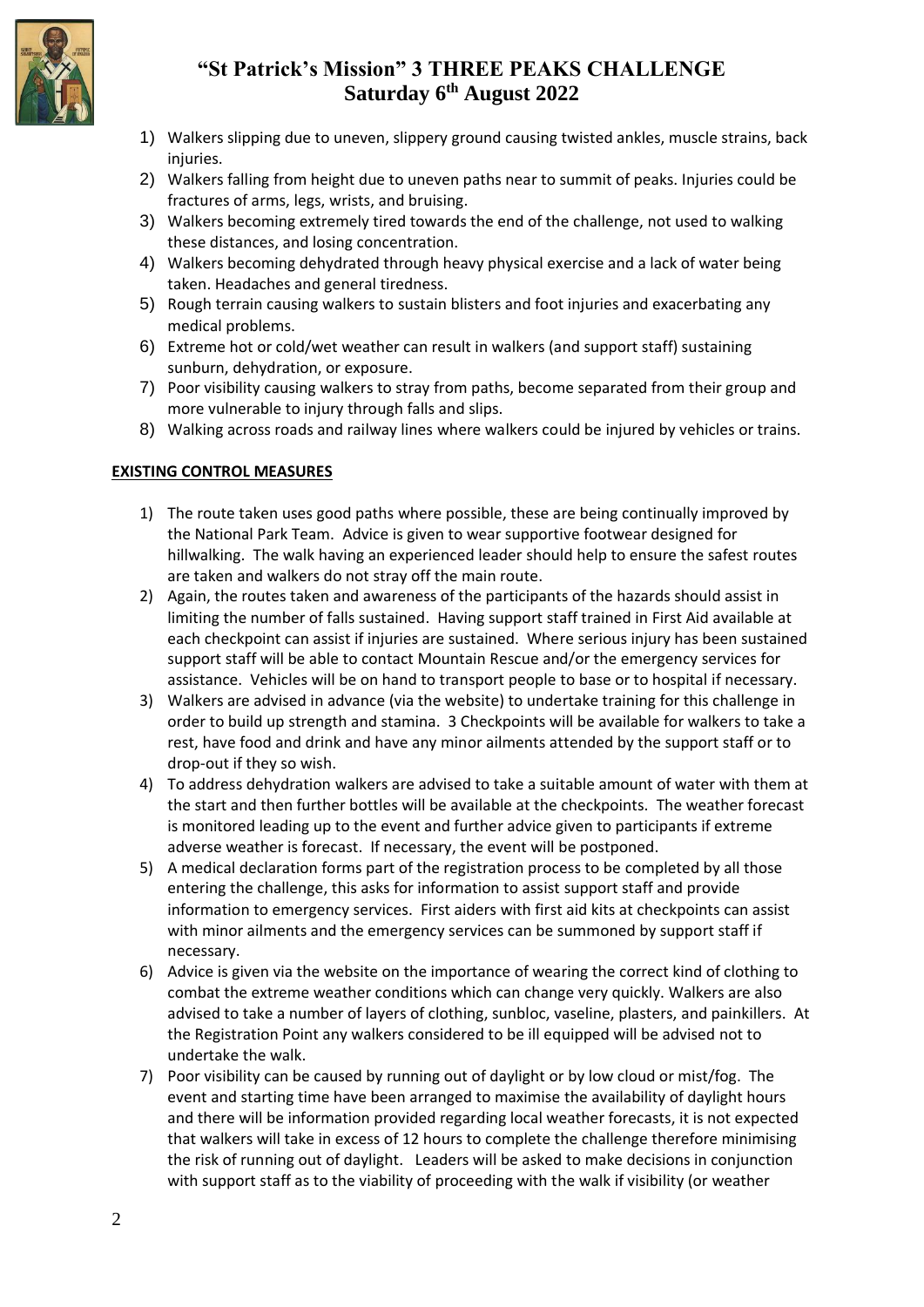

# **"St Patrick's Mission" 3 THREE PEAKS CHALLENGE Saturday 6 th August 2022**

- 1) Walkers slipping due to uneven, slippery ground causing twisted ankles, muscle strains, back injuries.
- 2) Walkers falling from height due to uneven paths near to summit of peaks. Injuries could be fractures of arms, legs, wrists, and bruising.
- 3) Walkers becoming extremely tired towards the end of the challenge, not used to walking these distances, and losing concentration.
- 4) Walkers becoming dehydrated through heavy physical exercise and a lack of water being taken. Headaches and general tiredness.
- 5) Rough terrain causing walkers to sustain blisters and foot injuries and exacerbating any medical problems.
- 6) Extreme hot or cold/wet weather can result in walkers (and support staff) sustaining sunburn, dehydration, or exposure.
- 7) Poor visibility causing walkers to stray from paths, become separated from their group and more vulnerable to injury through falls and slips.
- 8) Walking across roads and railway lines where walkers could be injured by vehicles or trains.

## **EXISTING CONTROL MEASURES**

- 1) The route taken uses good paths where possible, these are being continually improved by the National Park Team. Advice is given to wear supportive footwear designed for hillwalking. The walk having an experienced leader should help to ensure the safest routes are taken and walkers do not stray off the main route.
- 2) Again, the routes taken and awareness of the participants of the hazards should assist in limiting the number of falls sustained. Having support staff trained in First Aid available at each checkpoint can assist if injuries are sustained. Where serious injury has been sustained support staff will be able to contact Mountain Rescue and/or the emergency services for assistance. Vehicles will be on hand to transport people to base or to hospital if necessary.
- 3) Walkers are advised in advance (via the website) to undertake training for this challenge in order to build up strength and stamina. 3 Checkpoints will be available for walkers to take a rest, have food and drink and have any minor ailments attended by the support staff or to drop-out if they so wish.
- 4) To address dehydration walkers are advised to take a suitable amount of water with them at the start and then further bottles will be available at the checkpoints. The weather forecast is monitored leading up to the event and further advice given to participants if extreme adverse weather is forecast. If necessary, the event will be postponed.
- 5) A medical declaration forms part of the registration process to be completed by all those entering the challenge, this asks for information to assist support staff and provide information to emergency services. First aiders with first aid kits at checkpoints can assist with minor ailments and the emergency services can be summoned by support staff if necessary.
- 6) Advice is given via the website on the importance of wearing the correct kind of clothing to combat the extreme weather conditions which can change very quickly. Walkers are also advised to take a number of layers of clothing, sunbloc, vaseline, plasters, and painkillers. At the Registration Point any walkers considered to be ill equipped will be advised not to undertake the walk.
- 7) Poor visibility can be caused by running out of daylight or by low cloud or mist/fog. The event and starting time have been arranged to maximise the availability of daylight hours and there will be information provided regarding local weather forecasts, it is not expected that walkers will take in excess of 12 hours to complete the challenge therefore minimising the risk of running out of daylight. Leaders will be asked to make decisions in conjunction with support staff as to the viability of proceeding with the walk if visibility (or weather